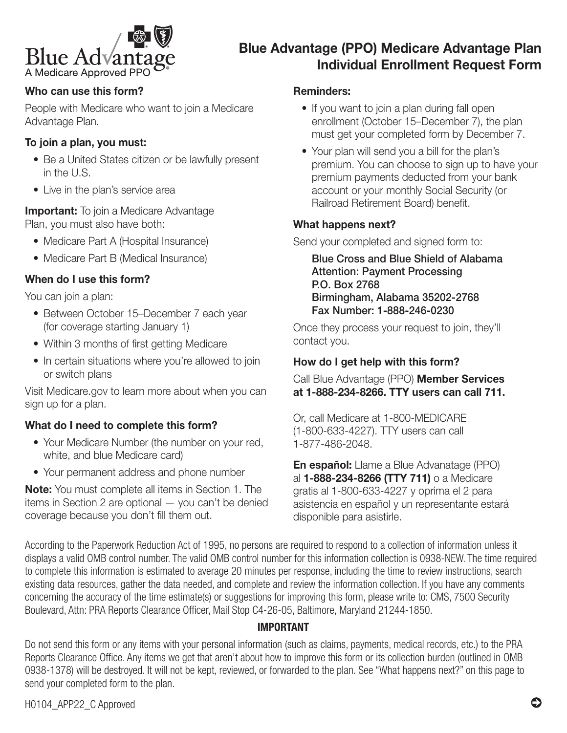

# Blue Advantage (PPO) Medicare Advantage Plan Individual Enrollment Request Form

## Who can use this form?

People with Medicare who want to join a Medicare Advantage Plan.

## To join a plan, you must:

- Be a United States citizen or be lawfully present in the U.S.
- Live in the plan's service area

#### **Important:** To join a Medicare Advantage Plan, you must also have both:

- Medicare Part A (Hospital Insurance)
- Medicare Part B (Medical Insurance)

## When do I use this form?

You can join a plan:

- Between October 15–December 7 each year (for coverage starting January 1)
- Within 3 months of first getting Medicare
- In certain situations where you're allowed to join or switch plans

Visit [Medicare.gov](http://Medicare.gov) to learn more about when you can sign up for a plan.

#### What do I need to complete this form?

- Your Medicare Number (the number on your red, white, and blue Medicare card)
- Your permanent address and phone number

Note: You must complete all items in Section 1. The items in Section 2 are optional — you can't be denied coverage because you don't fill them out.

#### Reminders:

- If you want to join a plan during fall open enrollment (October 15–December 7), the plan must get your completed form by December 7.
- Your plan will send you a bill for the plan's premium. You can choose to sign up to have your premium payments deducted from your bank account or your monthly Social Security (or Railroad Retirement Board) benefit.

#### What happens next?

Send your completed and signed form to:

 Blue Cross and Blue Shield of Alabama Attention: Payment Processing P.O. Box 2768 Birmingham, Alabama 35202-2768 Fax Number: 1-888-246-0230

Once they process your request to join, they'll contact you.

## How do I get help with this form?

Call Blue Advantage (PPO) Member Services at 1-888-234-8266. TTY users can call 711.

Or, call Medicare at 1-800-MEDICARE (1-800-633-4227). TTY users can call 1-877-486-2048.

En español: Llame a Blue Advanatage (PPO) al 1-888-234-8266 (TTY 711) o a Medicare gratis al 1-800-633-4227 y oprima el 2 para asistencia en español y un representante estará disponible para asistirle.

According to the Paperwork Reduction Act of 1995, no persons are required to respond to a collection of information unless it displays a valid OMB control number. The valid OMB control number for this information collection is 0938-NEW. The time required to complete this information is estimated to average 20 minutes per response, including the time to review instructions, search existing data resources, gather the data needed, and complete and review the information collection. If you have any comments concerning the accuracy of the time estimate(s) or suggestions for improving this form, please write to: CMS, 7500 Security Boulevard, Attn: PRA Reports Clearance Officer, Mail Stop C4-26-05, Baltimore, Maryland 21244-1850.

## IMPORTANT

Do not send this form or any items with your personal information (such as claims, payments, medical records, etc.) to the PRA Reports Clearance Office. Any items we get that aren't about how to improve this form or its collection burden (outlined in OMB 0938-1378) will be destroyed. It will not be kept, reviewed, or forwarded to the plan. See "What happens next?" on this page to send your completed form to the plan.

H0104\_APP22\_C Approved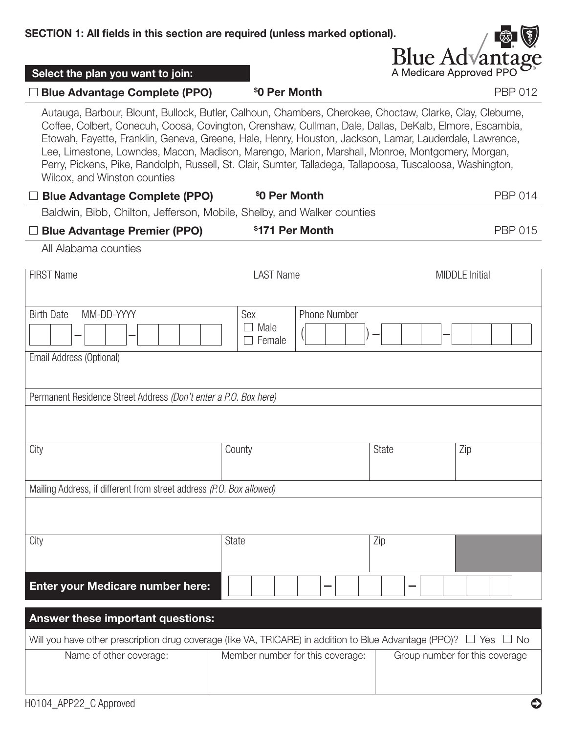

| Select the plan you want to join:                                                                                                                                                                                                                                                                                                                                                                                                                                                                                                                                             |                                              |              | A Medicare Approved PPO O <sup>®</sup> |  |
|-------------------------------------------------------------------------------------------------------------------------------------------------------------------------------------------------------------------------------------------------------------------------------------------------------------------------------------------------------------------------------------------------------------------------------------------------------------------------------------------------------------------------------------------------------------------------------|----------------------------------------------|--------------|----------------------------------------|--|
| □ Blue Advantage Complete (PPO)                                                                                                                                                                                                                                                                                                                                                                                                                                                                                                                                               | \$0 Per Month                                |              | <b>PBP 012</b>                         |  |
| Autauga, Barbour, Blount, Bullock, Butler, Calhoun, Chambers, Cherokee, Choctaw, Clarke, Clay, Cleburne,<br>Coffee, Colbert, Conecuh, Coosa, Covington, Crenshaw, Cullman, Dale, Dallas, DeKalb, Elmore, Escambia,<br>Etowah, Fayette, Franklin, Geneva, Greene, Hale, Henry, Houston, Jackson, Lamar, Lauderdale, Lawrence,<br>Lee, Limestone, Lowndes, Macon, Madison, Marengo, Marion, Marshall, Monroe, Montgomery, Morgan,<br>Perry, Pickens, Pike, Randolph, Russell, St. Clair, Sumter, Talladega, Tallapoosa, Tuscaloosa, Washington,<br>Wilcox, and Winston counties |                                              |              |                                        |  |
| <b>Blue Advantage Complete (PPO)</b>                                                                                                                                                                                                                                                                                                                                                                                                                                                                                                                                          | \$0 Per Month                                |              | <b>PBP 014</b>                         |  |
| Baldwin, Bibb, Chilton, Jefferson, Mobile, Shelby, and Walker counties                                                                                                                                                                                                                                                                                                                                                                                                                                                                                                        |                                              |              |                                        |  |
| <b>Blue Advantage Premier (PPO)</b>                                                                                                                                                                                                                                                                                                                                                                                                                                                                                                                                           | \$171 Per Month                              |              | <b>PBP 015</b>                         |  |
| All Alabama counties                                                                                                                                                                                                                                                                                                                                                                                                                                                                                                                                                          |                                              |              |                                        |  |
| <b>FIRST Name</b>                                                                                                                                                                                                                                                                                                                                                                                                                                                                                                                                                             | <b>LAST Name</b>                             |              | <b>MIDDLE Initial</b>                  |  |
| <b>Birth Date</b><br>MM-DD-YYYY                                                                                                                                                                                                                                                                                                                                                                                                                                                                                                                                               | Sex<br><b>Phone Number</b><br>Male<br>Female |              |                                        |  |
| Email Address (Optional)<br>Permanent Residence Street Address (Don't enter a P.O. Box here)                                                                                                                                                                                                                                                                                                                                                                                                                                                                                  |                                              |              |                                        |  |
| City                                                                                                                                                                                                                                                                                                                                                                                                                                                                                                                                                                          | County                                       | <b>State</b> | Zip                                    |  |
| Mailing Address, if different from street address (P.O. Box allowed)                                                                                                                                                                                                                                                                                                                                                                                                                                                                                                          |                                              |              |                                        |  |
|                                                                                                                                                                                                                                                                                                                                                                                                                                                                                                                                                                               |                                              |              |                                        |  |
| City                                                                                                                                                                                                                                                                                                                                                                                                                                                                                                                                                                          | State                                        | Zip          |                                        |  |
| <b>Enter your Medicare number here:</b>                                                                                                                                                                                                                                                                                                                                                                                                                                                                                                                                       |                                              |              |                                        |  |
| <b>Answer these important questions:</b>                                                                                                                                                                                                                                                                                                                                                                                                                                                                                                                                      |                                              |              |                                        |  |
| Will you have other prescription drug coverage (like VA, TRICARE) in addition to Blue Advantage (PPO)? $\Box$ Yes $\Box$ No                                                                                                                                                                                                                                                                                                                                                                                                                                                   |                                              |              |                                        |  |
| Name of other coverage:                                                                                                                                                                                                                                                                                                                                                                                                                                                                                                                                                       | Member number for this coverage:             |              | Group number for this coverage         |  |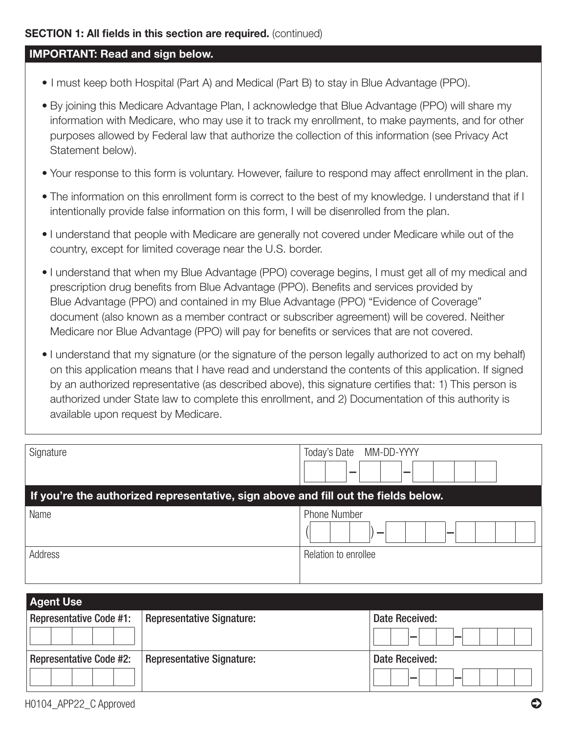#### **SECTION 1: All fields in this section are required.** (continued)

## IMPORTANT: Read and sign below.

- I must keep both Hospital (Part A) and Medical (Part B) to stay in Blue Advantage (PPO).
- By joining this Medicare Advantage Plan, I acknowledge that Blue Advantage (PPO) will share my information with Medicare, who may use it to track my enrollment, to make payments, and for other purposes allowed by Federal law that authorize the collection of this information (see Privacy Act Statement below).
- Your response to this form is voluntary. However, failure to respond may affect enrollment in the plan.
- The information on this enrollment form is correct to the best of my knowledge. I understand that if I intentionally provide false information on this form, I will be disenrolled from the plan.
- I understand that people with Medicare are generally not covered under Medicare while out of the country, except for limited coverage near the U.S. border.
- I understand that when my Blue Advantage (PPO) coverage begins, I must get all of my medical and prescription drug benefits from Blue Advantage (PPO). Benefits and services provided by Blue Advantage (PPO) and contained in my Blue Advantage (PPO) "Evidence of Coverage" document (also known as a member contract or subscriber agreement) will be covered. Neither Medicare nor Blue Advantage (PPO) will pay for benefits or services that are not covered.
- I understand that my signature (or the signature of the person legally authorized to act on my behalf) on this application means that I have read and understand the contents of this application. If signed by an authorized representative (as described above), this signature certifies that: 1) This person is authorized under State law to complete this enrollment, and 2) Documentation of this authority is available upon request by Medicare.

| Signature                                                                          | Today's Date<br>MM-DD-YYYY<br>- |  |  |
|------------------------------------------------------------------------------------|---------------------------------|--|--|
| If you're the authorized representative, sign above and fill out the fields below. |                                 |  |  |
| Name                                                                               | <b>Phone Number</b><br>_        |  |  |
| Address                                                                            | Relation to enrollee            |  |  |

| <b>Agent Use</b>               |                                  |                |
|--------------------------------|----------------------------------|----------------|
| <b>Representative Code #1:</b> | <b>Representative Signature:</b> | Date Received: |
|                                |                                  |                |
| <b>Representative Code #2:</b> | <b>Representative Signature:</b> | Date Received: |
|                                |                                  |                |